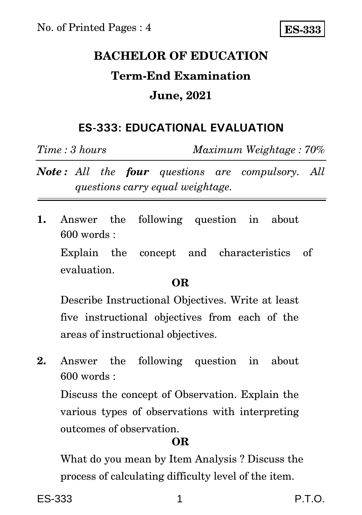# **BACHELOR OF EDUCATION Term-End Examination June, 2021**

## **ES-333: EDUCATIONAL EVALUATION**

*Time : 3 hours Maximum Weightage : 70%*

*Note : All the four questions are compulsory. All questions carry equal weightage.*

**1.** Answer the following question in about 600 words :

Explain the concept and characteristics of evaluation.

### **OR**

Describe Instructional Objectives. Write at least five instructional objectives from each of the areas of instructional objectives.

**2.** Answer the following question in about  $600$  words  $\cdot$ 

Discuss the concept of Observation. Explain the various types of observations with interpreting outcomes of observation.

## **OR**

What do you mean by Item Analysis ? Discuss the process of calculating difficulty level of the item.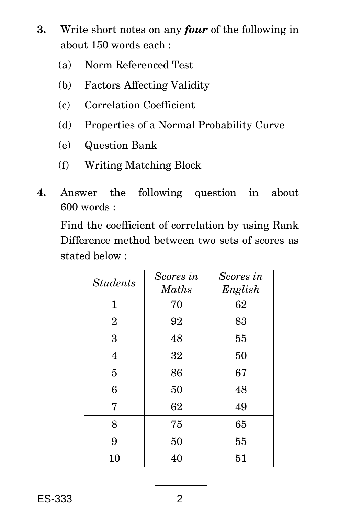- **3.** Write short notes on any *four* of the following in about 150 words each :
	- (a) Norm Referenced Test
	- (b) Factors Affecting Validity
	- (c) Correlation Coefficient
	- (d) Properties of a Normal Probability Curve
	- (e) Question Bank
	- (f) Writing Matching Block
- **4.** Answer the following question in about 600 words :

Find the coefficient of correlation by using Rank Difference method between two sets of scores as stated below :

| <b>Students</b> | Scores in<br><b>Maths</b> | Scores in<br>English |
|-----------------|---------------------------|----------------------|
| 1               | 70                        | 62                   |
| $\overline{2}$  | 92                        | 83                   |
| 3               | 48                        | 55                   |
| $\overline{4}$  | 32                        | 50                   |
| 5               | 86                        | 67                   |
| 6               | 50                        | 48                   |
| 7               | 62                        | 49                   |
| 8               | 75                        | 65                   |
| 9               | 50                        | 55                   |
| 10              | 40                        | 51                   |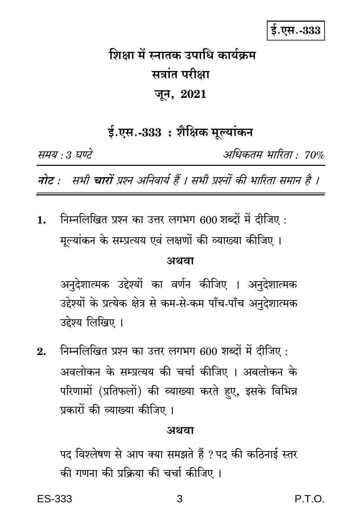# ई.एस.-333

# शिक्षा में स्नातक उपाधि कार्यक्रम सत्रांत परीक्षा जून, 2021

ई.एस.-333 : शैक्षिक मूल्यांकन

समय : 3 घण्टे

अधिकतम् भारिता • 70%

नोट : सभी चारों प्रश्न अनिवार्य हैं । सभी प्रश्नों की भारिता समान है ।

निम्नलिखित प्रश्न का उत्तर लगभग 600 शब्दों में दीजिए : 1. मूल्यांकन के सम्प्रत्यय एवं लक्षणों की व्याख्या कीजिए ।

### अथवा

अनुदेशात्मक उद्देश्यों का वर्णन कीजिए । अनुदेशात्मक उद्देश्यों के प्रत्येक क्षेत्र से कम-से-कम पाँच-पाँच अनुदेशात्मक उद्देश्य लिखिए ।

निम्नलिखित प्रश्न का उत्तर लगभग 600 शब्दों में दीजिए:  $2<sub>1</sub>$ अवलोकन के सम्प्रत्यय की चर्चा कीजिए । अवलोकन के परिणामों (प्रतिफलों) की व्याख्या करते हुए, इसके विभिन्न प्रकारों की व्याख्या कीजिए ।

#### अथवा

पद विश्लेषण से आप क्या समझते हैं ? पद की कठिनाई स्तर की गणना की प्रक्रिया की चर्चा कीजिए ।